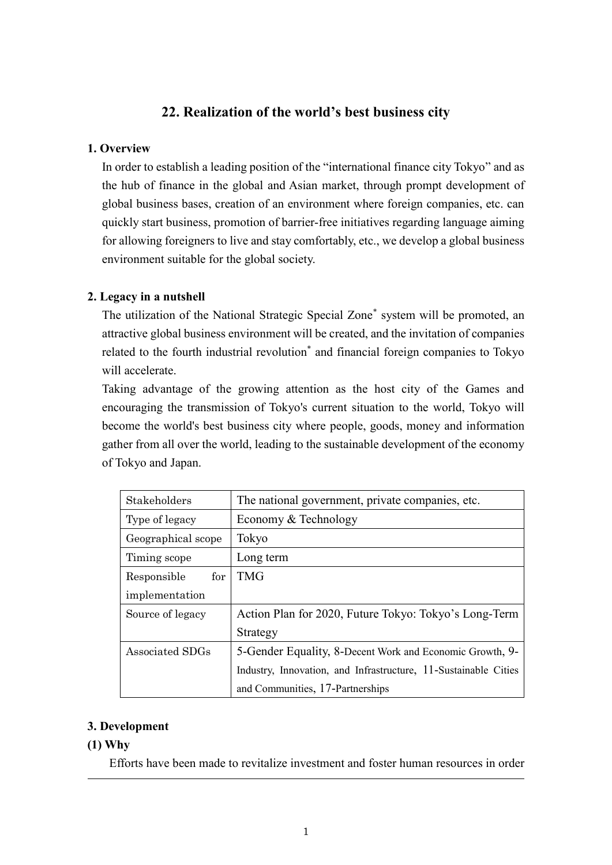# **22. Realization of the world's best business city**

#### **1. Overview**

In order to establish a leading position of the "international finance city Tokyo" and as the hub of finance in the global and Asian market, through prompt development of global business bases, creation of an environment where foreign companies, etc. can quickly start business, promotion of barrier-free initiatives regarding language aiming for allowing foreigners to live and stay comfortably, etc., we develop a global business environment suitable for the global society.

# **2. Legacy in a nutshell**

The utilization of the National Strategic Special Zone\* system will be promoted, an attractive global business environment will be created, and the invitation of companies related to the fourth industrial revolution\* and financial foreign companies to Tokyo will accelerate.

Taking advantage of the growing attention as the host city of the Games and encouraging the transmission of Tokyo's current situation to the world, Tokyo will become the world's best business city where people, goods, money and information gather from all over the world, leading to the sustainable development of the economy of Tokyo and Japan.

| Stakeholders       | The national government, private companies, etc.                |
|--------------------|-----------------------------------------------------------------|
| Type of legacy     | Economy & Technology                                            |
| Geographical scope | Tokyo                                                           |
| Timing scope       | Long term                                                       |
| for<br>Responsible | <b>TMG</b>                                                      |
| implementation     |                                                                 |
| Source of legacy   | Action Plan for 2020, Future Tokyo: Tokyo's Long-Term           |
|                    | Strategy                                                        |
| Associated SDGs    | 5-Gender Equality, 8-Decent Work and Economic Growth, 9-        |
|                    | Industry, Innovation, and Infrastructure, 11-Sustainable Cities |
|                    | and Communities, 17-Partnerships                                |

# **3. Development**

# **(1) Why**

Efforts have been made to revitalize investment and foster human resources in order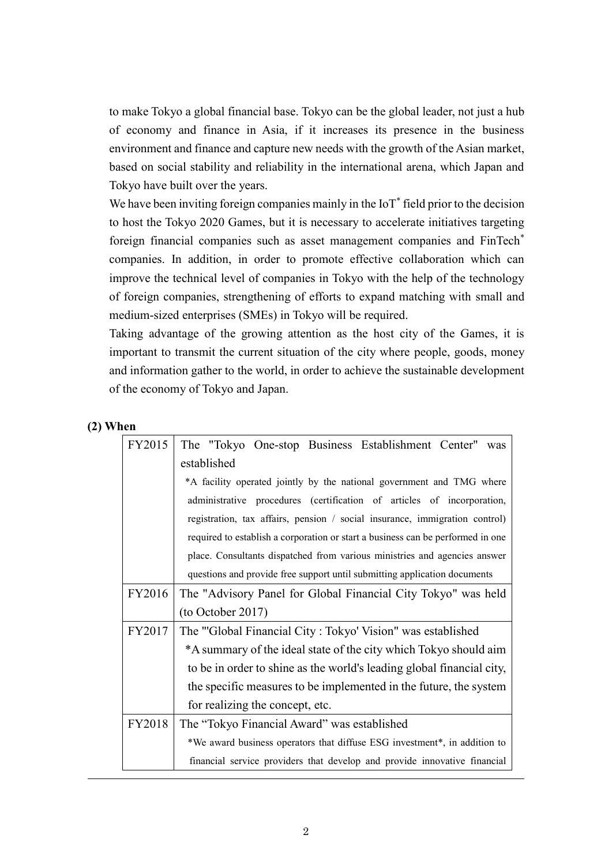to make Tokyo a global financial base. Tokyo can be the global leader, not just a hub of economy and finance in Asia, if it increases its presence in the business environment and finance and capture new needs with the growth of the Asian market, based on social stability and reliability in the international arena, which Japan and Tokyo have built over the years.

We have been inviting foreign companies mainly in the  $I\circ T^*$  field prior to the decision to host the Tokyo 2020 Games, but it is necessary to accelerate initiatives targeting foreign financial companies such as asset management companies and FinTech\* companies. In addition, in order to promote effective collaboration which can improve the technical level of companies in Tokyo with the help of the technology of foreign companies, strengthening of efforts to expand matching with small and medium-sized enterprises (SMEs) in Tokyo will be required.

Taking advantage of the growing attention as the host city of the Games, it is important to transmit the current situation of the city where people, goods, money and information gather to the world, in order to achieve the sustainable development of the economy of Tokyo and Japan.

#### **(2) When**

| FY2015 | The "Tokyo One-stop Business Establishment Center"<br>was                       |
|--------|---------------------------------------------------------------------------------|
|        | established                                                                     |
|        | *A facility operated jointly by the national government and TMG where           |
|        | administrative procedures (certification of articles of incorporation,          |
|        | registration, tax affairs, pension / social insurance, immigration control)     |
|        | required to establish a corporation or start a business can be performed in one |
|        | place. Consultants dispatched from various ministries and agencies answer       |
|        | questions and provide free support until submitting application documents       |
| FY2016 | The "Advisory Panel for Global Financial City Tokyo" was held                   |
|        | (to October 2017)                                                               |
| FY2017 | The "Global Financial City: Tokyo' Vision" was established                      |
|        | *A summary of the ideal state of the city which Tokyo should aim                |
|        | to be in order to shine as the world's leading global financial city,           |
|        | the specific measures to be implemented in the future, the system               |
|        | for realizing the concept, etc.                                                 |
| FY2018 | The "Tokyo Financial Award" was established                                     |
|        | *We award business operators that diffuse ESG investment*, in addition to       |
|        | financial service providers that develop and provide innovative financial       |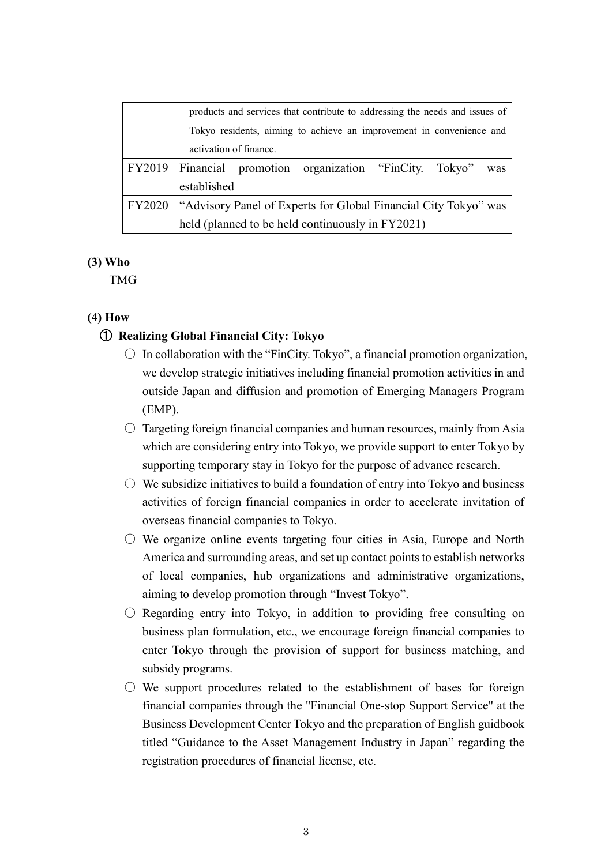|        | products and services that contribute to addressing the needs and issues of |  |  |
|--------|-----------------------------------------------------------------------------|--|--|
|        | Tokyo residents, aiming to achieve an improvement in convenience and        |  |  |
|        | activation of finance.                                                      |  |  |
|        | FY2019   Financial promotion organization "FinCity. Tokyo"<br>was           |  |  |
|        | established                                                                 |  |  |
| FY2020 | "Advisory Panel of Experts for Global Financial City Tokyo" was             |  |  |
|        | held (planned to be held continuously in FY2021)                            |  |  |

#### **(3) Who**

TMG

# **(4) How**

# ① **Realizing Global Financial City: Tokyo**

- $\circ$  In collaboration with the "FinCity. Tokyo", a financial promotion organization, we develop strategic initiatives including financial promotion activities in and outside Japan and diffusion and promotion of Emerging Managers Program (EMP).
- $\circ$  Targeting foreign financial companies and human resources, mainly from Asia which are considering entry into Tokyo, we provide support to enter Tokyo by supporting temporary stay in Tokyo for the purpose of advance research.
- $\circlearrowright$  We subsidize initiatives to build a foundation of entry into Tokyo and business activities of foreign financial companies in order to accelerate invitation of overseas financial companies to Tokyo.
- $\circlearrowright$  We organize online events targeting four cities in Asia, Europe and North America and surrounding areas, and set up contact points to establish networks of local companies, hub organizations and administrative organizations, aiming to develop promotion through "Invest Tokyo".
- $\circ$  Regarding entry into Tokyo, in addition to providing free consulting on business plan formulation, etc., we encourage foreign financial companies to enter Tokyo through the provision of support for business matching, and subsidy programs.
- $\bigcirc$  We support procedures related to the establishment of bases for foreign financial companies through the "Financial One-stop Support Service" at the Business Development Center Tokyo and the preparation of English guidbook titled "Guidance to the Asset Management Industry in Japan" regarding the registration procedures of financial license, etc.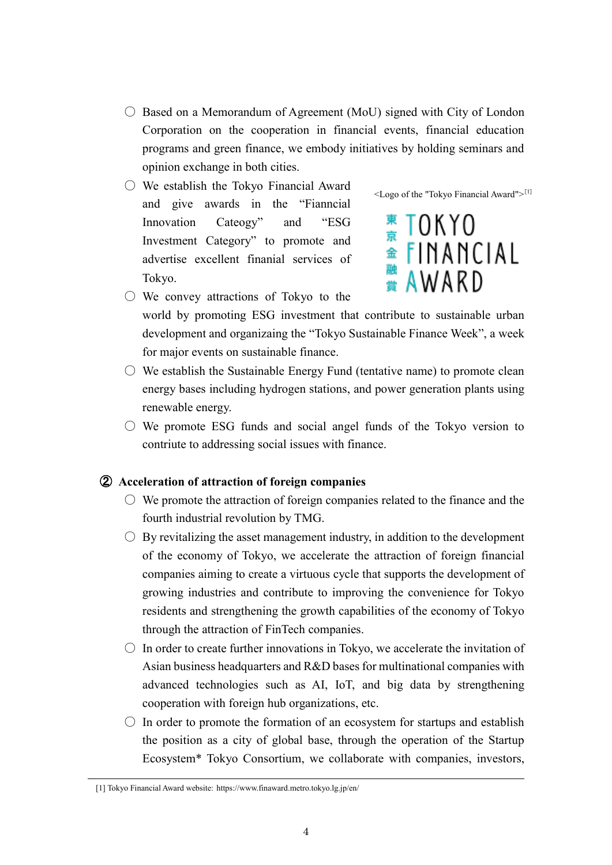- $\circ$  Based on a Memorandum of Agreement (MoU) signed with City of London Corporation on the cooperation in financial events, financial education programs and green finance, we embody initiatives by holding seminars and opinion exchange in both cities.
- We establish the Tokyo Financial Award and give awards in the "Fianncial Innovation Cateogy" and "ESG Investment Category" to promote and advertise excellent finanial services of Tokyo.



<sup>東</sup> TOKYO<br>金 FINANCIAL<br><sub>農</sub> AWARD

- $\bigcirc$  We convey attractions of Tokyo to the world by promoting ESG investment that contribute to sustainable urban development and organizaing the "Tokyo Sustainable Finance Week", a week for major events on sustainable finance.
- $\circ$  We establish the Sustainable Energy Fund (tentative name) to promote clean energy bases including hydrogen stations, and power generation plants using renewable energy.
- $\circlearrowright$  We promote ESG funds and social angel funds of the Tokyo version to contriute to addressing social issues with finance.

# ② **Acceleration of attraction of foreign companies**

- $\circ$  We promote the attraction of foreign companies related to the finance and the fourth industrial revolution by TMG.
- $\bigcirc$  By revitalizing the asset management industry, in addition to the development of the economy of Tokyo, we accelerate the attraction of foreign financial companies aiming to create a virtuous cycle that supports the development of growing industries and contribute to improving the convenience for Tokyo residents and strengthening the growth capabilities of the economy of Tokyo through the attraction of FinTech companies.
- $\circ$  In order to create further innovations in Tokyo, we accelerate the invitation of Asian business headquarters and R&D bases for multinational companies with advanced technologies such as AI, IoT, and big data by strengthening cooperation with foreign hub organizations, etc.
- $\circ$  In order to promote the formation of an ecosystem for startups and establish the position as a city of global base, through the operation of the Startup Ecosystem\* Tokyo Consortium, we collaborate with companies, investors,

<sup>[1]</sup> Tokyo Financial Award website: https://www.finaward.metro.tokyo.lg.jp/en/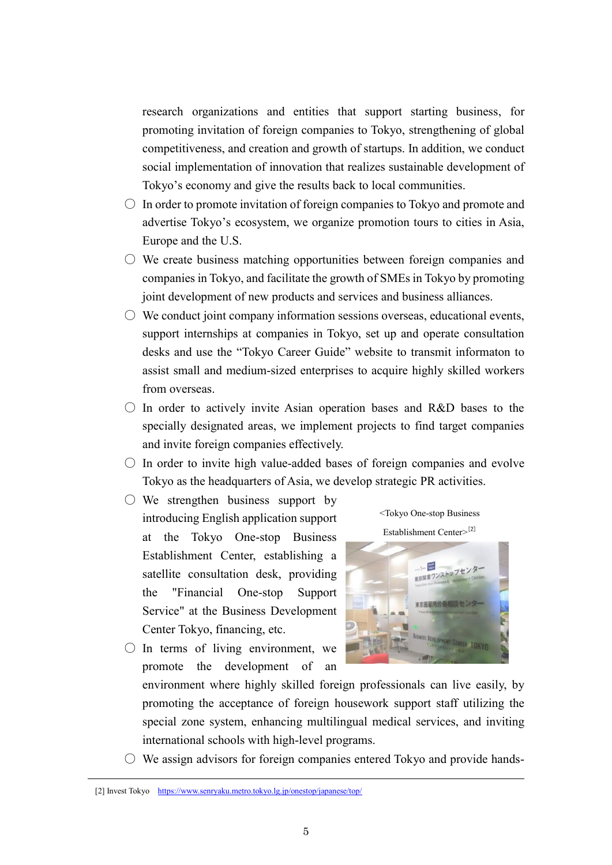research organizations and entities that support starting business, for promoting invitation of foreign companies to Tokyo, strengthening of global competitiveness, and creation and growth of startups. In addition, we conduct social implementation of innovation that realizes sustainable development of Tokyo's economy and give the results back to local communities.

- $\circlearrowright$  In order to promote invitation of foreign companies to Tokyo and promote and advertise Tokyo's ecosystem, we organize promotion tours to cities in Asia, Europe and the U.S.
- $\circlearrowright$  We create business matching opportunities between foreign companies and companies in Tokyo, and facilitate the growth of SMEs in Tokyo by promoting joint development of new products and services and business alliances.
- $\circ$  We conduct joint company information sessions overseas, educational events, support internships at companies in Tokyo, set up and operate consultation desks and use the "Tokyo Career Guide" website to transmit informaton to assist small and medium-sized enterprises to acquire highly skilled workers from overseas.
- $\circ$  In order to actively invite Asian operation bases and R&D bases to the specially designated areas, we implement projects to find target companies and invite foreign companies effectively.
- $\circ$  In order to invite high value-added bases of foreign companies and evolve Tokyo as the headquarters of Asia, we develop strategic PR activities.
- $\bigcirc$  We strengthen business support by introducing English application support at the Tokyo One-stop Business Establishment Center, establishing a satellite consultation desk, providing the "Financial One-stop Support Service" at the Business Development Center Tokyo, financing, etc.
- $\bigcirc$  In terms of living environment, we promote the development of an





environment where highly skilled foreign professionals can live easily, by promoting the acceptance of foreign housework support staff utilizing the special zone system, enhancing multilingual medical services, and inviting international schools with high-level programs.

 $\circ$  We assign advisors for foreign companies entered Tokyo and provide hands-

<sup>[2]</sup> Invest Tokyo <https://www.senryaku.metro.tokyo.lg.jp/onestop/japanese/top/>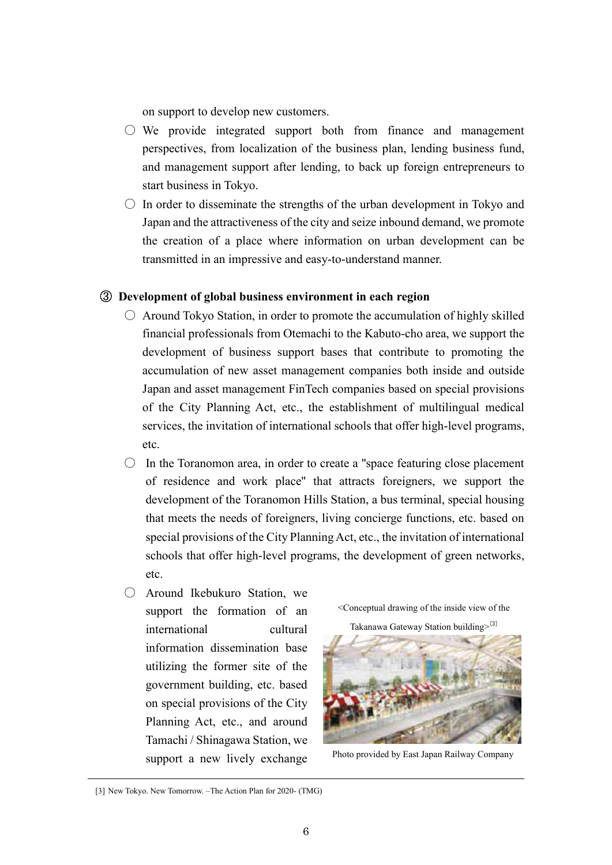on support to develop new customers.

- $\circ$  We provide integrated support both from finance and management perspectives, from localization of the business plan, lending business fund, and management support after lending, to back up foreign entrepreneurs to start business in Tokyo.
- $\circ$  In order to disseminate the strengths of the urban development in Tokyo and Japan and the attractiveness of the city and seize inbound demand, we promote the creation of a place where information on urban development can be transmitted in an impressive and easy-to-understand manner.

#### ③ **Development of global business environment in each region**

- $\circ$  Around Tokyo Station, in order to promote the accumulation of highly skilled financial professionals from Otemachi to the Kabuto-cho area, we support the development of business support bases that contribute to promoting the accumulation of new asset management companies both inside and outside Japan and asset management FinTech companies based on special provisions of the City Planning Act, etc., the establishment of multilingual medical services, the invitation of international schools that offer high-level programs, etc.
- $\circ$  In the Toranomon area, in order to create a "space featuring close placement" of residence and work place'' that attracts foreigners, we support the development of the Toranomon Hills Station, a bus terminal, special housing that meets the needs of foreigners, living concierge functions, etc. based on special provisions of the City Planning Act, etc., the invitation of international schools that offer high-level programs, the development of green networks, etc.
- Around Ikebukuro Station, we support the formation of an international cultural information dissemination base utilizing the former site of the government building, etc. based on special provisions of the City Planning Act, etc., and around Tamachi / Shinagawa Station, we support a new lively exchange

<Conceptual drawing of the inside view of the

Takanawa Gateway Station building>[3]



Photo provided by East Japan Railway Company

<sup>[3]</sup> New Tokyo. New Tomorrow. –The Action Plan for 2020- (TMG)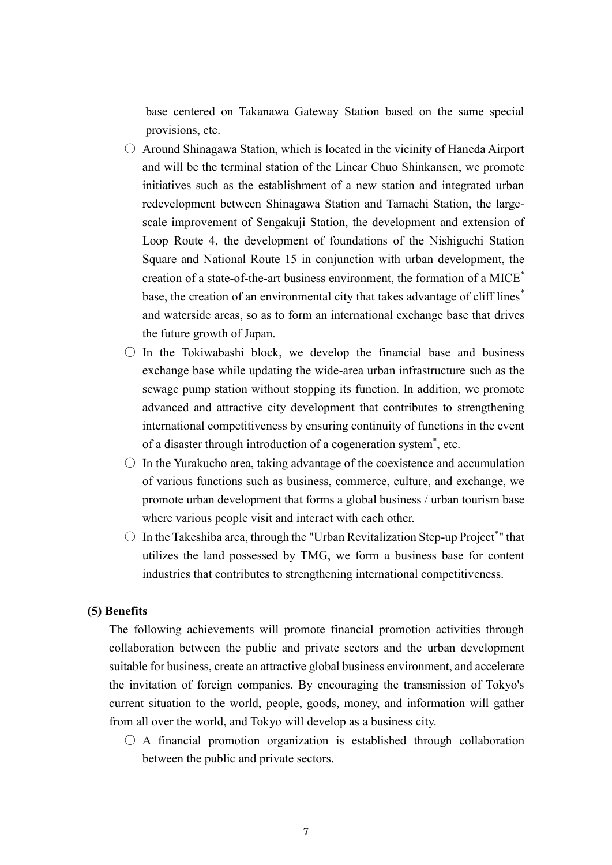base centered on Takanawa Gateway Station based on the same special provisions, etc.

- $\circ$  Around Shinagawa Station, which is located in the vicinity of Haneda Airport and will be the terminal station of the Linear Chuo Shinkansen, we promote initiatives such as the establishment of a new station and integrated urban redevelopment between Shinagawa Station and Tamachi Station, the largescale improvement of Sengakuji Station, the development and extension of Loop Route 4, the development of foundations of the Nishiguchi Station Square and National Route 15 in conjunction with urban development, the creation of a state-of-the-art business environment, the formation of a MICE\* base, the creation of an environmental city that takes advantage of cliff lines<sup>\*</sup> and waterside areas, so as to form an international exchange base that drives the future growth of Japan.
- $\circ$  In the Tokiwabashi block, we develop the financial base and business exchange base while updating the wide-area urban infrastructure such as the sewage pump station without stopping its function. In addition, we promote advanced and attractive city development that contributes to strengthening international competitiveness by ensuring continuity of functions in the event of a disaster through introduction of a cogeneration system\* , etc.
- $\circ$  In the Yurakucho area, taking advantage of the coexistence and accumulation of various functions such as business, commerce, culture, and exchange, we promote urban development that forms a global business / urban tourism base where various people visit and interact with each other.
- $\bigcirc$  In the Takeshiba area, through the "Urban Revitalization Step-up Project\*" that utilizes the land possessed by TMG, we form a business base for content industries that contributes to strengthening international competitiveness.

#### **(5) Benefits**

The following achievements will promote financial promotion activities through collaboration between the public and private sectors and the urban development suitable for business, create an attractive global business environment, and accelerate the invitation of foreign companies. By encouraging the transmission of Tokyo's current situation to the world, people, goods, money, and information will gather from all over the world, and Tokyo will develop as a business city.

 $\bigcirc$  A financial promotion organization is established through collaboration between the public and private sectors.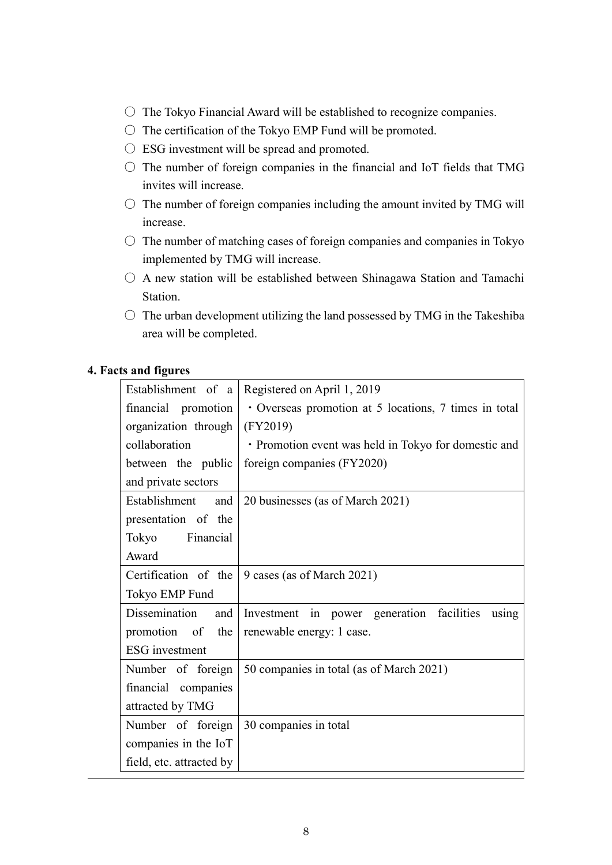- $\circ$  The Tokyo Financial Award will be established to recognize companies.
- $\bigcirc$  The certification of the Tokyo EMP Fund will be promoted.
- ESG investment will be spread and promoted.
- $\circ$  The number of foreign companies in the financial and IoT fields that TMG invites will increase.
- $\circlearrowright$  The number of foreign companies including the amount invited by TMG will increase.
- $\circ$  The number of matching cases of foreign companies and companies in Tokyo implemented by TMG will increase.
- $\bigcirc$  A new station will be established between Shinagawa Station and Tamachi Station.
- $\circ$  The urban development utilizing the land possessed by TMG in the Takeshiba area will be completed.

#### **4. Facts and figures**

| Establishment of a       | Registered on April 1, 2019                             |
|--------------------------|---------------------------------------------------------|
| financial promotion      | • Overseas promotion at 5 locations, 7 times in total   |
| organization through     | (FY2019)                                                |
| collaboration            | · Promotion event was held in Tokyo for domestic and    |
| between the public       | foreign companies (FY2020)                              |
| and private sectors      |                                                         |
| Establishment<br>and     | 20 businesses (as of March 2021)                        |
| presentation of the      |                                                         |
| Tokyo Financial          |                                                         |
| Award                    |                                                         |
|                          | Certification of the $\vert$ 9 cases (as of March 2021) |
| Tokyo EMP Fund           |                                                         |
| Dissemination<br>and     | Investment in power generation facilities<br>using      |
| promotion of the         | renewable energy: 1 case.                               |
| <b>ESG</b> investment    |                                                         |
| Number of foreign        | 50 companies in total (as of March 2021)                |
| financial companies      |                                                         |
| attracted by TMG         |                                                         |
| Number of foreign        | 30 companies in total                                   |
| companies in the IoT     |                                                         |
| field, etc. attracted by |                                                         |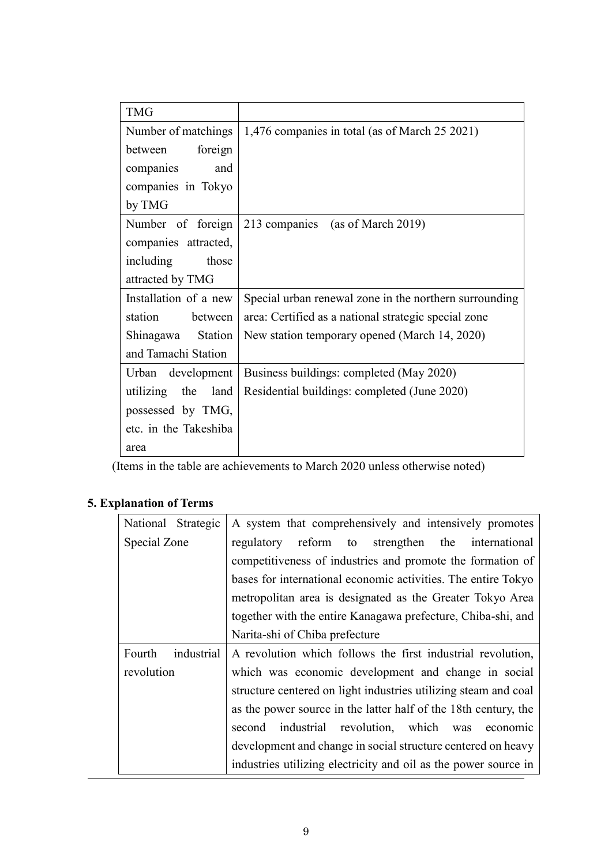| <b>TMG</b>            |                                                        |
|-----------------------|--------------------------------------------------------|
| Number of matchings   | 1,476 companies in total (as of March 25 2021)         |
| foreign<br>between    |                                                        |
| companies<br>and      |                                                        |
| companies in Tokyo    |                                                        |
| by TMG                |                                                        |
| Number of foreign     | 213 companies (as of March 2019)                       |
| companies attracted,  |                                                        |
| including<br>those    |                                                        |
| attracted by TMG      |                                                        |
| Installation of a new | Special urban renewal zone in the northern surrounding |
| station<br>between    | area: Certified as a national strategic special zone   |
| Shinagawa Station     | New station temporary opened (March 14, 2020)          |
| and Tamachi Station   |                                                        |
| Urban development     | Business buildings: completed (May 2020)               |
| utilizing the<br>land | Residential buildings: completed (June 2020)           |
| possessed by TMG,     |                                                        |
| etc. in the Takeshiba |                                                        |
| area                  |                                                        |

(Items in the table are achievements to March 2020 unless otherwise noted)

# **5. Explanation of Terms**

| National Strategic   | A system that comprehensively and intensively promotes          |
|----------------------|-----------------------------------------------------------------|
| Special Zone         | regulatory reform to strengthen the international               |
|                      | competitiveness of industries and promote the formation of      |
|                      | bases for international economic activities. The entire Tokyo   |
|                      | metropolitan area is designated as the Greater Tokyo Area       |
|                      | together with the entire Kanagawa prefecture, Chiba-shi, and    |
|                      | Narita-shi of Chiba prefecture                                  |
| Fourth<br>industrial | A revolution which follows the first industrial revolution,     |
| revolution           | which was economic development and change in social             |
|                      | structure centered on light industries utilizing steam and coal |
|                      | as the power source in the latter half of the 18th century, the |
|                      | industrial revolution, which was<br>second<br>economic          |
|                      | development and change in social structure centered on heavy    |
|                      | industries utilizing electricity and oil as the power source in |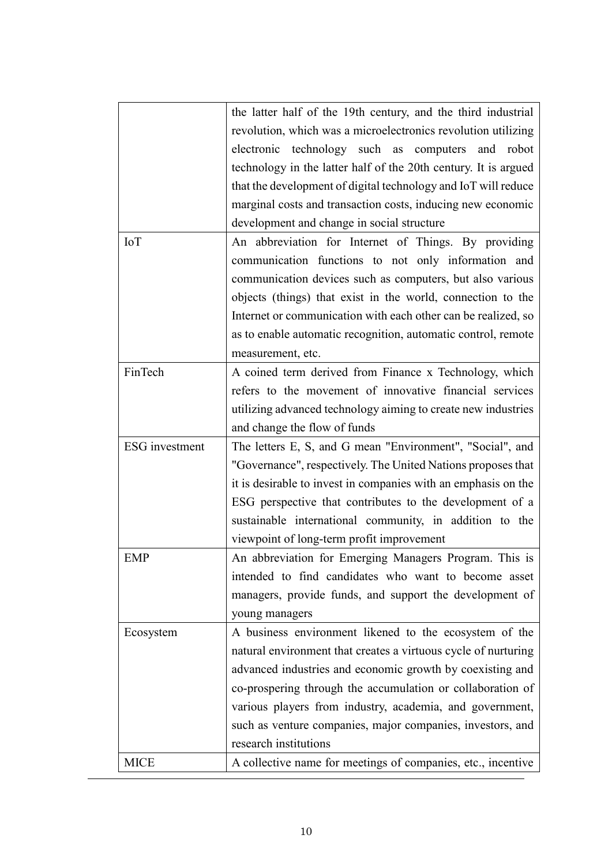|                       | the latter half of the 19th century, and the third industrial   |
|-----------------------|-----------------------------------------------------------------|
|                       | revolution, which was a microelectronics revolution utilizing   |
|                       | electronic technology such as computers and robot               |
|                       | technology in the latter half of the 20th century. It is argued |
|                       | that the development of digital technology and IoT will reduce  |
|                       | marginal costs and transaction costs, inducing new economic     |
|                       | development and change in social structure                      |
| <b>IoT</b>            | An abbreviation for Internet of Things. By providing            |
|                       | communication functions to not only information and             |
|                       | communication devices such as computers, but also various       |
|                       | objects (things) that exist in the world, connection to the     |
|                       | Internet or communication with each other can be realized, so   |
|                       | as to enable automatic recognition, automatic control, remote   |
|                       | measurement, etc.                                               |
| FinTech               | A coined term derived from Finance x Technology, which          |
|                       | refers to the movement of innovative financial services         |
|                       | utilizing advanced technology aiming to create new industries   |
|                       | and change the flow of funds                                    |
| <b>ESG</b> investment | The letters E, S, and G mean "Environment", "Social", and       |
|                       | "Governance", respectively. The United Nations proposes that    |
|                       | it is desirable to invest in companies with an emphasis on the  |
|                       | ESG perspective that contributes to the development of a        |
|                       | sustainable international community, in addition to the         |
|                       | viewpoint of long-term profit improvement                       |
| EMP                   | An abbreviation for Emerging Managers Program. This is          |
|                       | intended to find candidates who want to become asset            |
|                       | managers, provide funds, and support the development of         |
|                       | young managers                                                  |
| Ecosystem             | A business environment likened to the ecosystem of the          |
|                       | natural environment that creates a virtuous cycle of nurturing  |
|                       | advanced industries and economic growth by coexisting and       |
|                       | co-prospering through the accumulation or collaboration of      |
|                       | various players from industry, academia, and government,        |
|                       | such as venture companies, major companies, investors, and      |
|                       | research institutions                                           |
| <b>MICE</b>           | A collective name for meetings of companies, etc., incentive    |